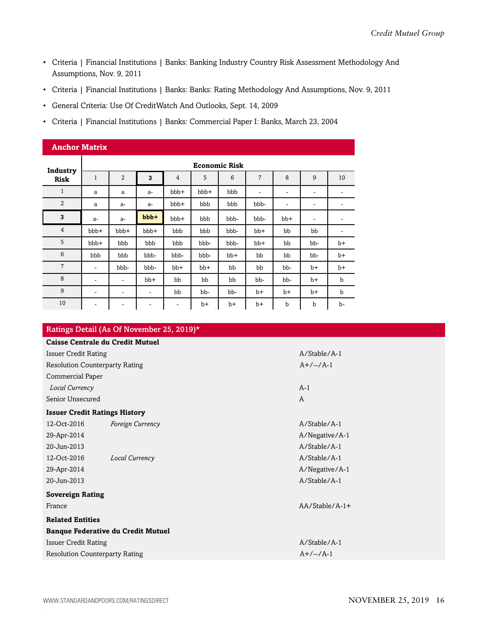- Criteria | Financial Institutions | Banks: Banking Industry Country Risk Assessment Methodology And Assumptions, Nov. 9, 2011
- Criteria | Financial Institutions | Banks: Banks: Rating Methodology And Assumptions, Nov. 9, 2011
- General Criteria: Use Of CreditWatch And Outlooks, Sept. 14, 2009
- Criteria | Financial Institutions | Banks: Commercial Paper I: Banks, March 23, 2004

| <b>Anchor Matrix</b>    |                          |                |       |                          |       |       |                              |                          |      |             |  |
|-------------------------|--------------------------|----------------|-------|--------------------------|-------|-------|------------------------------|--------------------------|------|-------------|--|
|                         | <b>Economic Risk</b>     |                |       |                          |       |       |                              |                          |      |             |  |
| Industry<br><b>Risk</b> | $\mathbf{1}$             | $\overline{2}$ | 3     | 4                        | 5     | 6     | 7                            | 8                        | 9    | 10          |  |
| $\mathbf{1}$            | a                        | a              | $a-$  | bbb+                     | bbb+  | bbb   | $\qquad \qquad \blacksquare$ | $\overline{\phantom{a}}$ | ۰    | ۰           |  |
| $\overline{2}$          | a                        | $a-$           | $a-$  | bbb+                     | bbb   | bbb   | bbb-                         | ۰                        | ٠    |             |  |
| 3                       | $a-$                     | $a-$           | bbb+  | bbb+                     | bbb   | bbb-  | bbb-                         | $bb+$                    | ۰    | ۰           |  |
| $\overline{4}$          | bbb+                     | bbb+           | bbb+  | bbb                      | bbb   | bbb-  | $bb+$                        | bb                       | bb   | -           |  |
| 5                       | bbb+                     | bbb            | bbb   | bbb                      | bbb-  | bbb-  | bb+                          | bb                       | bb-  | $b+$        |  |
| 6                       | bbb                      | bbb            | bbb-  | bbb-                     | bbb-  | $bb+$ | bb                           | bb                       | bb-  | $b+$        |  |
| $\overline{7}$          | $\overline{\phantom{a}}$ | bbb-           | bbb-  | $bb+$                    | $bb+$ | bb    | bb                           | bb-                      | $b+$ | $b+$        |  |
| 8                       | $\overline{\phantom{a}}$ | ۰              | $bb+$ | bb                       | bb    | bb    | bb-                          | bb-                      | b+   | b           |  |
| 9                       | ۰                        | ۰              | ۰     | bb                       | bb-   | bb-   | b+                           | $b+$                     | b+   | $\mathbf b$ |  |
| 10                      | ۰                        | ۰              |       | $\overline{\phantom{a}}$ | $b+$  | b+    | b+                           | b                        | b    | b-          |  |

|                                           | Ratings Detail (As Of November 25, 2019)* |                  |  |  |  |  |  |  |
|-------------------------------------------|-------------------------------------------|------------------|--|--|--|--|--|--|
| <b>Caisse Centrale du Credit Mutuel</b>   |                                           |                  |  |  |  |  |  |  |
| <b>Issuer Credit Rating</b>               |                                           | $A/Stable/A-1$   |  |  |  |  |  |  |
| <b>Resolution Counterparty Rating</b>     |                                           | $A+/-/-/A-1$     |  |  |  |  |  |  |
| Commercial Paper                          |                                           |                  |  |  |  |  |  |  |
| Local Currency                            |                                           | $A-1$            |  |  |  |  |  |  |
| Senior Unsecured                          |                                           | A                |  |  |  |  |  |  |
| <b>Issuer Credit Ratings History</b>      |                                           |                  |  |  |  |  |  |  |
| 12-Oct-2016                               | Foreign Currency                          | $A/Stable/A-1$   |  |  |  |  |  |  |
| 29-Apr-2014                               |                                           | A/Negative/A-1   |  |  |  |  |  |  |
| 20-Jun-2013                               |                                           | $A/Stable/A-1$   |  |  |  |  |  |  |
| 12-Oct-2016                               | Local Currency                            | $A/Stable/A-1$   |  |  |  |  |  |  |
| 29-Apr-2014                               |                                           | A/Negative/A-1   |  |  |  |  |  |  |
| 20-Jun-2013                               |                                           | $A/Stable/A-1$   |  |  |  |  |  |  |
| <b>Sovereign Rating</b>                   |                                           |                  |  |  |  |  |  |  |
| France                                    |                                           | $AA/Stable/A-1+$ |  |  |  |  |  |  |
| <b>Related Entities</b>                   |                                           |                  |  |  |  |  |  |  |
| <b>Banque Federative du Credit Mutuel</b> |                                           |                  |  |  |  |  |  |  |
| <b>Issuer Credit Rating</b>               |                                           | $A/S$ table/A-1  |  |  |  |  |  |  |
| <b>Resolution Counterparty Rating</b>     |                                           | $A+/-/-/A-1$     |  |  |  |  |  |  |
|                                           |                                           |                  |  |  |  |  |  |  |

.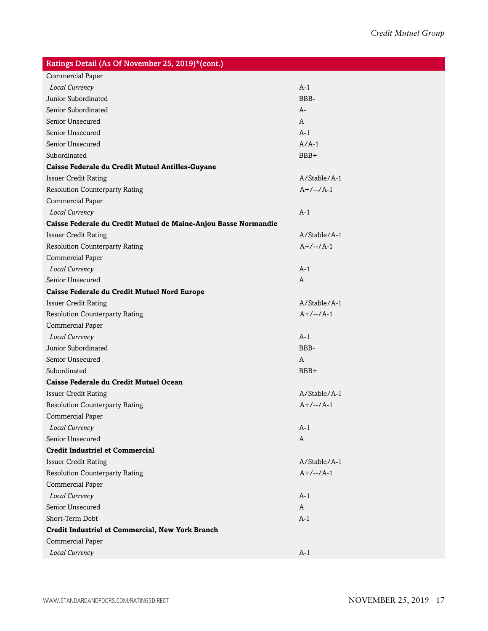| Ratings Detail (As Of November 25, 2019)*(cont.)                |                |  |  |  |  |  |
|-----------------------------------------------------------------|----------------|--|--|--|--|--|
| <b>Commercial Paper</b>                                         |                |  |  |  |  |  |
| Local Currency                                                  | $A-1$          |  |  |  |  |  |
| <b>Junior Subordinated</b>                                      | BBB-           |  |  |  |  |  |
| Senior Subordinated                                             | A-             |  |  |  |  |  |
| Senior Unsecured                                                | A              |  |  |  |  |  |
| Senior Unsecured                                                | $A-1$          |  |  |  |  |  |
| Senior Unsecured                                                | $A/A-1$        |  |  |  |  |  |
| Subordinated                                                    | BBB+           |  |  |  |  |  |
| Caisse Federale du Credit Mutuel Antilles-Guyane                |                |  |  |  |  |  |
| <b>Issuer Credit Rating</b>                                     | A/Stable/A-1   |  |  |  |  |  |
| <b>Resolution Counterparty Rating</b>                           | $A+/-/A-1$     |  |  |  |  |  |
| <b>Commercial Paper</b>                                         |                |  |  |  |  |  |
| Local Currency                                                  | $A-1$          |  |  |  |  |  |
| Caisse Federale du Credit Mutuel de Maine-Anjou Basse Normandie |                |  |  |  |  |  |
| <b>Issuer Credit Rating</b>                                     | A/Stable/A-1   |  |  |  |  |  |
| <b>Resolution Counterparty Rating</b>                           | $A+/-/A-1$     |  |  |  |  |  |
| <b>Commercial Paper</b>                                         |                |  |  |  |  |  |
| Local Currency                                                  | $A-1$          |  |  |  |  |  |
| Senior Unsecured                                                | A              |  |  |  |  |  |
| Caisse Federale du Credit Mutuel Nord Europe                    |                |  |  |  |  |  |
| <b>Issuer Credit Rating</b>                                     | A/Stable/A-1   |  |  |  |  |  |
| <b>Resolution Counterparty Rating</b>                           | $A+/-/A-1$     |  |  |  |  |  |
| Commercial Paper                                                |                |  |  |  |  |  |
| Local Currency                                                  | $A-1$          |  |  |  |  |  |
| Junior Subordinated                                             | BBB-           |  |  |  |  |  |
| Senior Unsecured                                                | A              |  |  |  |  |  |
| Subordinated                                                    | BBB+           |  |  |  |  |  |
| Caisse Federale du Credit Mutuel Ocean                          |                |  |  |  |  |  |
| <b>Issuer Credit Rating</b>                                     | A/Stable/A-1   |  |  |  |  |  |
| <b>Resolution Counterparty Rating</b>                           | $A+/-/-/A-1$   |  |  |  |  |  |
| Commercial Paper                                                |                |  |  |  |  |  |
| Local Currency                                                  | $A-1$          |  |  |  |  |  |
| Senior Unsecured                                                | A              |  |  |  |  |  |
| <b>Credit Industriel et Commercial</b>                          |                |  |  |  |  |  |
| <b>Issuer Credit Rating</b>                                     | $A/Stable/A-1$ |  |  |  |  |  |
| <b>Resolution Counterparty Rating</b>                           | $A+/-/A-1$     |  |  |  |  |  |
| Commercial Paper                                                |                |  |  |  |  |  |
| Local Currency                                                  | $A-1$          |  |  |  |  |  |
| Senior Unsecured                                                | A              |  |  |  |  |  |
| Short-Term Debt                                                 | $A-1$          |  |  |  |  |  |
| Credit Industriel et Commercial, New York Branch                |                |  |  |  |  |  |
| Commercial Paper                                                |                |  |  |  |  |  |
| Local Currency                                                  | $A-1$          |  |  |  |  |  |
|                                                                 |                |  |  |  |  |  |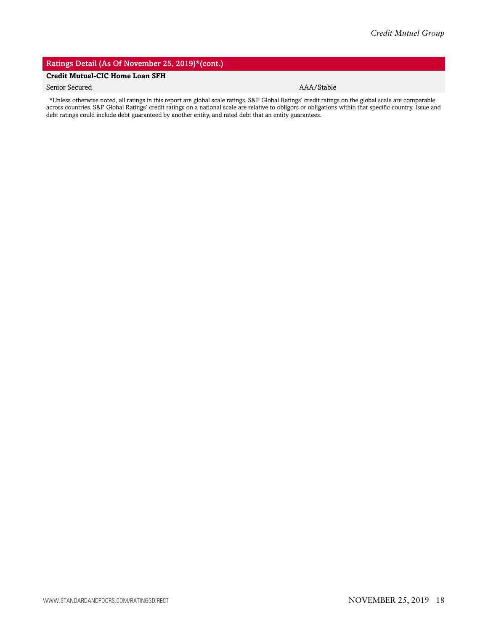## Ratings Detail (As Of November 25, 2019)\*(cont.)

## **Credit Mutuel-CIC Home Loan SFH**

## Senior Secured AAA/Stable

\*Unless otherwise noted, all ratings in this report are global scale ratings. S&P Global Ratings' credit ratings on the global scale are comparable across countries. S&P Global Ratings' credit ratings on a national scale are relative to obligors or obligations within that specific country. Issue and debt ratings could include debt guaranteed by another entity, and rated debt that an entity guarantees.